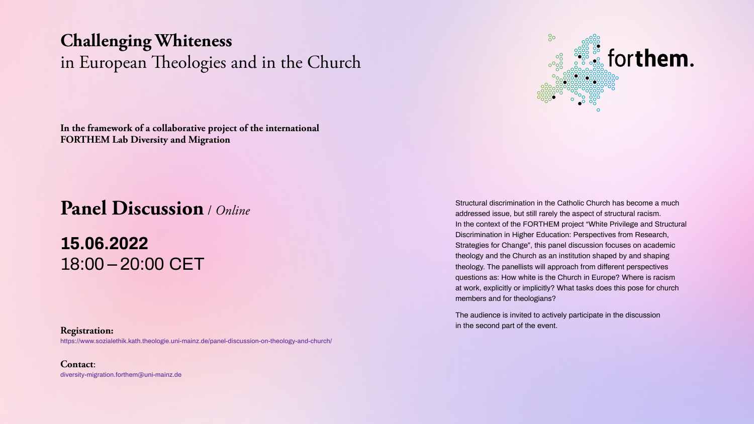# **Challenging Whiteness** in European Theologies and in the Church

**In the framework of a collaborative project of the international FORTHEM Lab Diversity and Migration**

# **Panel Discussion** / *Online*

# **15.06.2022** 18:00 – 20:00 CET

## **Registration:**

<https://www.sozialethik.kath.theologie.uni-mainz.de/panel-discussion-on-theology-and-church/>

**Contact**: [diversity-migration.forthem@uni-mainz.de](mailto:diversity-migration.forthem%40uni-mainz.de%20?subject=)



Structural discrimination in the Catholic Church has become a much addressed issue, but still rarely the aspect of structural racism. In the context of the FORTHEM project "White Privilege and Structural Discrimination in Higher Education: Perspectives from Research, Strategies for Change", this panel discussion focuses on academic theology and the Church as an institution shaped by and shaping theology. The panellists will approach from different perspectives questions as: How white is the Church in Europe? Where is racism at work, explicitly or implicitly? What tasks does this pose for church members and for theologians?

The audience is invited to actively participate in the discussion in the second part of the event.